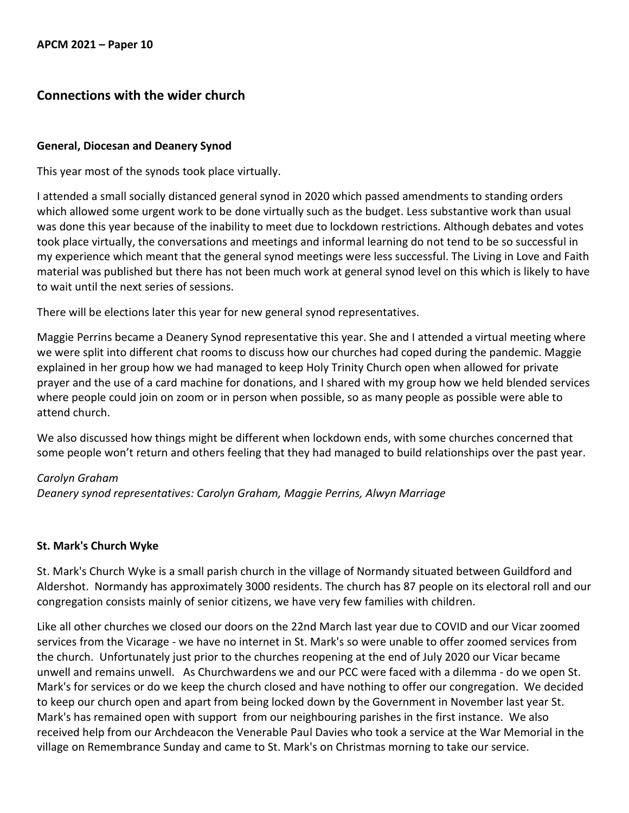## **Connections with the wider church**

## **General, Diocesan and Deanery Synod**

This year most of the synods took place virtually.

I attended a small socially distanced general synod in 2020 which passed amendments to standing orders which allowed some urgent work to be done virtually such as the budget. Less substantive work than usual was done this year because of the inability to meet due to lockdown restrictions. Although debates and votes took place virtually, the conversations and meetings and informal learning do not tend to be so successful in my experience which meant that the general synod meetings were less successful. The Living in Love and Faith material was published but there has not been much work at general synod level on this which is likely to have to wait until the next series of sessions.

There will be elections later this year for new general synod representatives.

Maggie Perrins became a Deanery Synod representative this year. She and I attended a virtual meeting where we were split into different chat rooms to discuss how our churches had coped during the pandemic. Maggie explained in her group how we had managed to keep Holy Trinity Church open when allowed for private prayer and the use of a card machine for donations, and I shared with my group how we held blended services where people could join on zoom or in person when possible, so as many people as possible were able to attend church.

We also discussed how things might be different when lockdown ends, with some churches concerned that some people won't return and others feeling that they had managed to build relationships over the past year.

## *Carolyn Graham*

*Deanery synod representatives: Carolyn Graham, Maggie Perrins, Alwyn Marriage*

## **St. Mark's Church Wyke**

St. Mark's Church Wyke is a small parish church in the village of Normandy situated between Guildford and Aldershot. Normandy has approximately 3000 residents. The church has 87 people on its electoral roll and our congregation consists mainly of senior citizens, we have very few families with children.

Like all other churches we closed our doors on the 22nd March last year due to COVID and our Vicar zoomed services from the Vicarage - we have no internet in St. Mark's so were unable to offer zoomed services from the church. Unfortunately just prior to the churches reopening at the end of July 2020 our Vicar became unwell and remains unwell. As Churchwardens we and our PCC were faced with a dilemma - do we open St. Mark's for services or do we keep the church closed and have nothing to offer our congregation. We decided to keep our church open and apart from being locked down by the Government in November last year St. Mark's has remained open with support from our neighbouring parishes in the first instance. We also received help from our Archdeacon the Venerable Paul Davies who took a service at the War Memorial in the village on Remembrance Sunday and came to St. Mark's on Christmas morning to take our service.